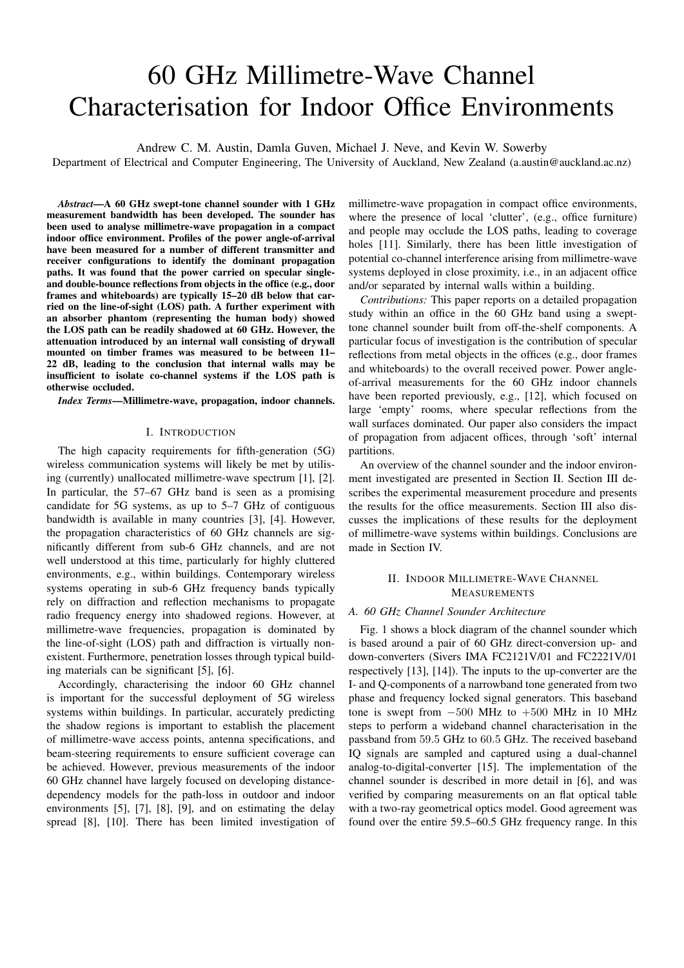# 60 GHz Millimetre-Wave Channel Characterisation for Indoor Office Environments

Andrew C. M. Austin, Damla Guven, Michael J. Neve, and Kevin W. Sowerby

Department of Electrical and Computer Engineering, The University of Auckland, New Zealand (a.austin@auckland.ac.nz)

*Abstract*—A 60 GHz swept-tone channel sounder with 1 GHz measurement bandwidth has been developed. The sounder has been used to analyse millimetre-wave propagation in a compact indoor office environment. Profiles of the power angle-of-arrival have been measured for a number of different transmitter and receiver configurations to identify the dominant propagation paths. It was found that the power carried on specular singleand double-bounce reflections from objects in the office (e.g., door frames and whiteboards) are typically 15–20 dB below that carried on the line-of-sight (LOS) path. A further experiment with an absorber phantom (representing the human body) showed the LOS path can be readily shadowed at 60 GHz. However, the attenuation introduced by an internal wall consisting of drywall mounted on timber frames was measured to be between 11– 22 dB, leading to the conclusion that internal walls may be insufficient to isolate co-channel systems if the LOS path is otherwise occluded.

*Index Terms*—Millimetre-wave, propagation, indoor channels.

# I. INTRODUCTION

The high capacity requirements for fifth-generation (5G) wireless communication systems will likely be met by utilising (currently) unallocated millimetre-wave spectrum [1], [2]. In particular, the 57–67 GHz band is seen as a promising candidate for 5G systems, as up to 5–7 GHz of contiguous bandwidth is available in many countries [3], [4]. However, the propagation characteristics of 60 GHz channels are significantly different from sub-6 GHz channels, and are not well understood at this time, particularly for highly cluttered environments, e.g., within buildings. Contemporary wireless systems operating in sub-6 GHz frequency bands typically rely on diffraction and reflection mechanisms to propagate radio frequency energy into shadowed regions. However, at millimetre-wave frequencies, propagation is dominated by the line-of-sight (LOS) path and diffraction is virtually nonexistent. Furthermore, penetration losses through typical building materials can be significant [5], [6].

Accordingly, characterising the indoor 60 GHz channel is important for the successful deployment of 5G wireless systems within buildings. In particular, accurately predicting the shadow regions is important to establish the placement of millimetre-wave access points, antenna specifications, and beam-steering requirements to ensure sufficient coverage can be achieved. However, previous measurements of the indoor 60 GHz channel have largely focused on developing distancedependency models for the path-loss in outdoor and indoor environments [5], [7], [8], [9], and on estimating the delay spread [8], [10]. There has been limited investigation of millimetre-wave propagation in compact office environments, where the presence of local 'clutter', (e.g., office furniture) and people may occlude the LOS paths, leading to coverage holes [11]. Similarly, there has been little investigation of potential co-channel interference arising from millimetre-wave systems deployed in close proximity, i.e., in an adjacent office and/or separated by internal walls within a building.

*Contributions:* This paper reports on a detailed propagation study within an office in the 60 GHz band using a swepttone channel sounder built from off-the-shelf components. A particular focus of investigation is the contribution of specular reflections from metal objects in the offices (e.g., door frames and whiteboards) to the overall received power. Power angleof-arrival measurements for the 60 GHz indoor channels have been reported previously, e.g., [12], which focused on large 'empty' rooms, where specular reflections from the wall surfaces dominated. Our paper also considers the impact of propagation from adjacent offices, through 'soft' internal partitions.

An overview of the channel sounder and the indoor environment investigated are presented in Section II. Section III describes the experimental measurement procedure and presents the results for the office measurements. Section III also discusses the implications of these results for the deployment of millimetre-wave systems within buildings. Conclusions are made in Section IV.

# II. INDOOR MILLIMETRE-WAVE CHANNEL MEASUREMENTS

# *A. 60 GHz Channel Sounder Architecture*

Fig. 1 shows a block diagram of the channel sounder which is based around a pair of 60 GHz direct-conversion up- and down-converters (Sivers IMA FC2121V/01 and FC2221V/01 respectively [13], [14]). The inputs to the up-converter are the I- and Q-components of a narrowband tone generated from two phase and frequency locked signal generators. This baseband tone is swept from  $-500$  MHz to  $+500$  MHz in 10 MHz steps to perform a wideband channel characterisation in the passband from 59.5 GHz to 60.5 GHz. The received baseband IQ signals are sampled and captured using a dual-channel analog-to-digital-converter [15]. The implementation of the channel sounder is described in more detail in [6], and was verified by comparing measurements on an flat optical table with a two-ray geometrical optics model. Good agreement was found over the entire 59.5–60.5 GHz frequency range. In this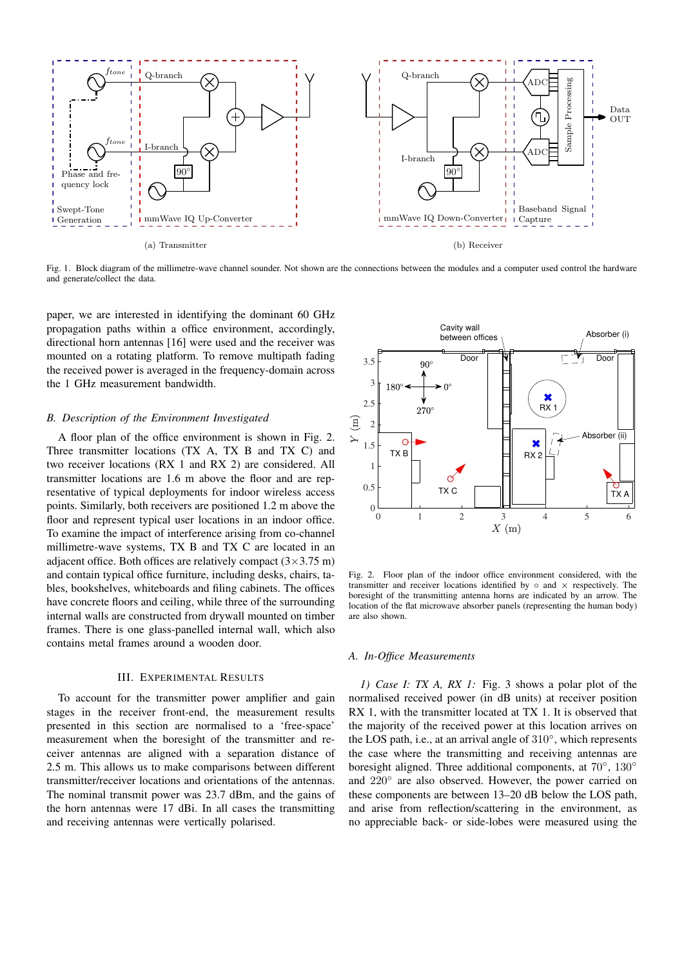

Fig. 1. Block diagram of the millimetre-wave channel sounder. Not shown are the connections between the modules and a computer used control the hardware and generate/collect the data.

paper, we are interested in identifying the dominant 60 GHz propagation paths within a office environment, accordingly, directional horn antennas [16] were used and the receiver was mounted on a rotating platform. To remove multipath fading the received power is averaged in the frequency-domain across the 1 GHz measurement bandwidth.

#### *B. Description of the Environment Investigated*

A floor plan of the office environment is shown in Fig. 2. Three transmitter locations (TX A, TX B and TX C) and two receiver locations (RX 1 and RX 2) are considered. All transmitter locations are 1.6 m above the floor and are representative of typical deployments for indoor wireless access points. Similarly, both receivers are positioned 1.2 m above the floor and represent typical user locations in an indoor office. To examine the impact of interference arising from co-channel millimetre-wave systems, TX B and TX C are located in an adjacent office. Both offices are relatively compact  $(3 \times 3.75 \text{ m})$ and contain typical office furniture, including desks, chairs, tables, bookshelves, whiteboards and filing cabinets. The offices have concrete floors and ceiling, while three of the surrounding internal walls are constructed from drywall mounted on timber frames. There is one glass-panelled internal wall, which also contains metal frames around a wooden door.

# III. EXPERIMENTAL RESULTS

To account for the transmitter power amplifier and gain stages in the receiver front-end, the measurement results presented in this section are normalised to a 'free-space' measurement when the boresight of the transmitter and receiver antennas are aligned with a separation distance of 2.5 m. This allows us to make comparisons between different transmitter/receiver locations and orientations of the antennas. The nominal transmit power was 23.7 dBm, and the gains of the horn antennas were 17 dBi. In all cases the transmitting and receiving antennas were vertically polarised.



Fig. 2. Floor plan of the indoor office environment considered, with the transmitter and receiver locations identified by  $\circ$  and  $\times$  respectively. The boresight of the transmitting antenna horns are indicated by an arrow. The location of the flat microwave absorber panels (representing the human body) are also shown.

#### *A. In-Office Measurements*

*1) Case I: TX A, RX 1:* Fig. 3 shows a polar plot of the normalised received power (in dB units) at receiver position RX 1, with the transmitter located at TX 1. It is observed that the majority of the received power at this location arrives on the LOS path, i.e., at an arrival angle of 310°, which represents the case where the transmitting and receiving antennas are boresight aligned. Three additional components, at 70°, 130° and 220◦ are also observed. However, the power carried on these components are between 13–20 dB below the LOS path, and arise from reflection/scattering in the environment, as no appreciable back- or side-lobes were measured using the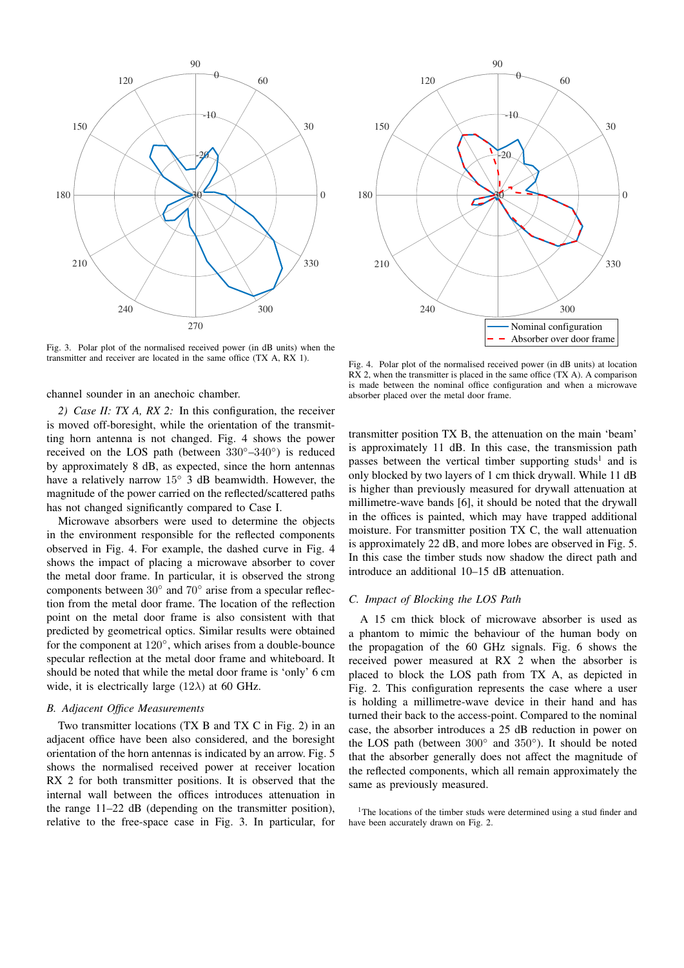

Fig. 3. Polar plot of the normalised received power (in dB units) when the transmitter and receiver are located in the same office (TX A, RX 1).

channel sounder in an anechoic chamber.

*2) Case II: TX A, RX 2:* In this configuration, the receiver is moved off-boresight, while the orientation of the transmitting horn antenna is not changed. Fig. 4 shows the power received on the LOS path (between 330◦–340◦ ) is reduced by approximately 8 dB, as expected, since the horn antennas have a relatively narrow 15◦ 3 dB beamwidth. However, the magnitude of the power carried on the reflected/scattered paths has not changed significantly compared to Case I.

Microwave absorbers were used to determine the objects in the environment responsible for the reflected components observed in Fig. 4. For example, the dashed curve in Fig. 4 shows the impact of placing a microwave absorber to cover the metal door frame. In particular, it is observed the strong components between  $30°$  and  $70°$  arise from a specular reflection from the metal door frame. The location of the reflection point on the metal door frame is also consistent with that predicted by geometrical optics. Similar results were obtained for the component at 120°, which arises from a double-bounce specular reflection at the metal door frame and whiteboard. It should be noted that while the metal door frame is 'only' 6 cm wide, it is electrically large  $(12\lambda)$  at 60 GHz.

# *B. Adjacent Office Measurements*

Two transmitter locations (TX B and TX C in Fig. 2) in an adjacent office have been also considered, and the boresight orientation of the horn antennas is indicated by an arrow. Fig. 5 shows the normalised received power at receiver location RX 2 for both transmitter positions. It is observed that the internal wall between the offices introduces attenuation in the range 11–22 dB (depending on the transmitter position), relative to the free-space case in Fig. 3. In particular, for



Fig. 4. Polar plot of the normalised received power (in dB units) at location RX 2, when the transmitter is placed in the same office (TX A). A comparison is made between the nominal office configuration and when a microwave absorber placed over the metal door frame.

transmitter position TX B, the attenuation on the main 'beam' is approximately 11 dB. In this case, the transmission path passes between the vertical timber supporting studs<sup>1</sup> and is only blocked by two layers of 1 cm thick drywall. While 11 dB is higher than previously measured for drywall attenuation at millimetre-wave bands [6], it should be noted that the drywall in the offices is painted, which may have trapped additional moisture. For transmitter position TX C, the wall attenuation is approximately 22 dB, and more lobes are observed in Fig. 5. In this case the timber studs now shadow the direct path and introduce an additional 10–15 dB attenuation.

# *C. Impact of Blocking the LOS Path*

A 15 cm thick block of microwave absorber is used as a phantom to mimic the behaviour of the human body on the propagation of the 60 GHz signals. Fig. 6 shows the received power measured at RX 2 when the absorber is placed to block the LOS path from TX A, as depicted in Fig. 2. This configuration represents the case where a user is holding a millimetre-wave device in their hand and has turned their back to the access-point. Compared to the nominal case, the absorber introduces a 25 dB reduction in power on the LOS path (between 300◦ and 350◦ ). It should be noted that the absorber generally does not affect the magnitude of the reflected components, which all remain approximately the same as previously measured.

<sup>1</sup>The locations of the timber studs were determined using a stud finder and have been accurately drawn on Fig. 2.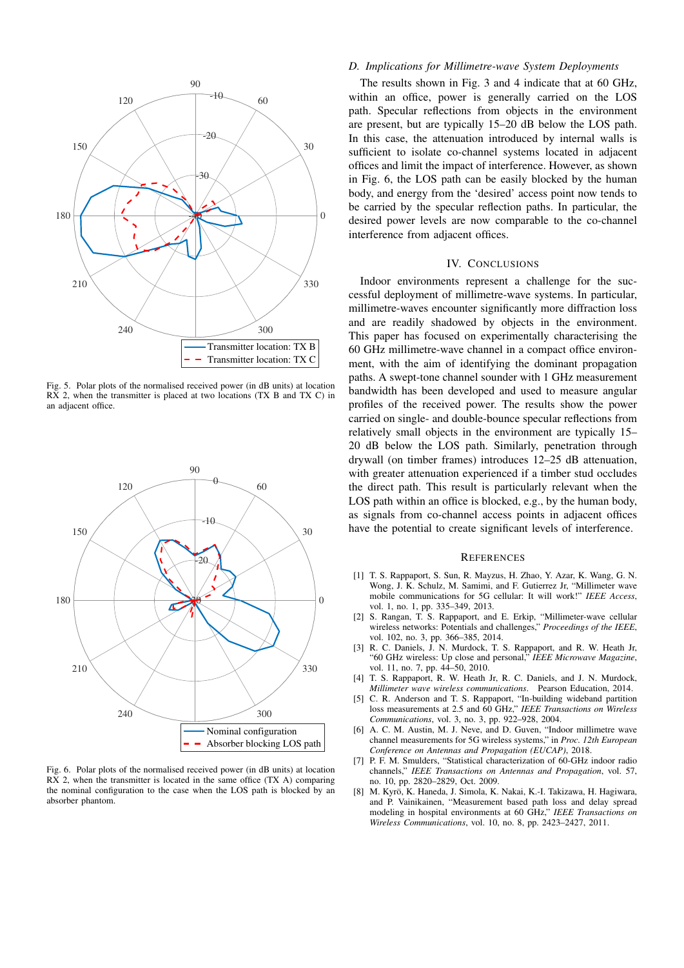

Fig. 5. Polar plots of the normalised received power (in dB units) at location RX 2, when the transmitter is placed at two locations (TX B and TX C) in an adjacent office.



Fig. 6. Polar plots of the normalised received power (in dB units) at location RX 2, when the transmitter is located in the same office (TX A) comparing the nominal configuration to the case when the LOS path is blocked by an absorber phantom.

#### *D. Implications for Millimetre-wave System Deployments*

The results shown in Fig. 3 and 4 indicate that at 60 GHz, within an office, power is generally carried on the LOS path. Specular reflections from objects in the environment are present, but are typically 15–20 dB below the LOS path. In this case, the attenuation introduced by internal walls is sufficient to isolate co-channel systems located in adjacent offices and limit the impact of interference. However, as shown in Fig. 6, the LOS path can be easily blocked by the human body, and energy from the 'desired' access point now tends to be carried by the specular reflection paths. In particular, the desired power levels are now comparable to the co-channel interference from adjacent offices.

#### IV. CONCLUSIONS

Indoor environments represent a challenge for the successful deployment of millimetre-wave systems. In particular, millimetre-waves encounter significantly more diffraction loss and are readily shadowed by objects in the environment. This paper has focused on experimentally characterising the 60 GHz millimetre-wave channel in a compact office environment, with the aim of identifying the dominant propagation paths. A swept-tone channel sounder with 1 GHz measurement bandwidth has been developed and used to measure angular profiles of the received power. The results show the power carried on single- and double-bounce specular reflections from relatively small objects in the environment are typically 15– 20 dB below the LOS path. Similarly, penetration through drywall (on timber frames) introduces 12–25 dB attenuation, with greater attenuation experienced if a timber stud occludes the direct path. This result is particularly relevant when the LOS path within an office is blocked, e.g., by the human body, as signals from co-channel access points in adjacent offices have the potential to create significant levels of interference.

#### **REFERENCES**

- [1] T. S. Rappaport, S. Sun, R. Mayzus, H. Zhao, Y. Azar, K. Wang, G. N. Wong, J. K. Schulz, M. Samimi, and F. Gutierrez Jr, "Millimeter wave mobile communications for 5G cellular: It will work!" *IEEE Access*, vol. 1, no. 1, pp. 335–349, 2013.
- [2] S. Rangan, T. S. Rappaport, and E. Erkip, "Millimeter-wave cellular wireless networks: Potentials and challenges," *Proceedings of the IEEE*, vol. 102, no. 3, pp. 366–385, 2014.
- [3] R. C. Daniels, J. N. Murdock, T. S. Rappaport, and R. W. Heath Jr, "60 GHz wireless: Up close and personal," *IEEE Microwave Magazine*, vol. 11, no. 7, pp. 44–50, 2010.
- [4] T. S. Rappaport, R. W. Heath Jr, R. C. Daniels, and J. N. Murdock, *Millimeter wave wireless communications*. Pearson Education, 2014.
- [5] C. R. Anderson and T. S. Rappaport, "In-building wideband partition loss measurements at 2.5 and 60 GHz," *IEEE Transactions on Wireless Communications*, vol. 3, no. 3, pp. 922–928, 2004.
- [6] A. C. M. Austin, M. J. Neve, and D. Guven, "Indoor millimetre wave channel measurements for 5G wireless systems," in *Proc. 12th European Conference on Antennas and Propagation (EUCAP)*, 2018.
- [7] P. F. M. Smulders, "Statistical characterization of 60-GHz indoor radio channels," *IEEE Transactions on Antennas and Propagation*, vol. 57, no. 10, pp. 2820–2829, Oct. 2009.
- [8] M. Kyrö, K. Haneda, J. Simola, K. Nakai, K.-I. Takizawa, H. Hagiwara, and P. Vainikainen, "Measurement based path loss and delay spread modeling in hospital environments at 60 GHz," *IEEE Transactions on Wireless Communications*, vol. 10, no. 8, pp. 2423–2427, 2011.